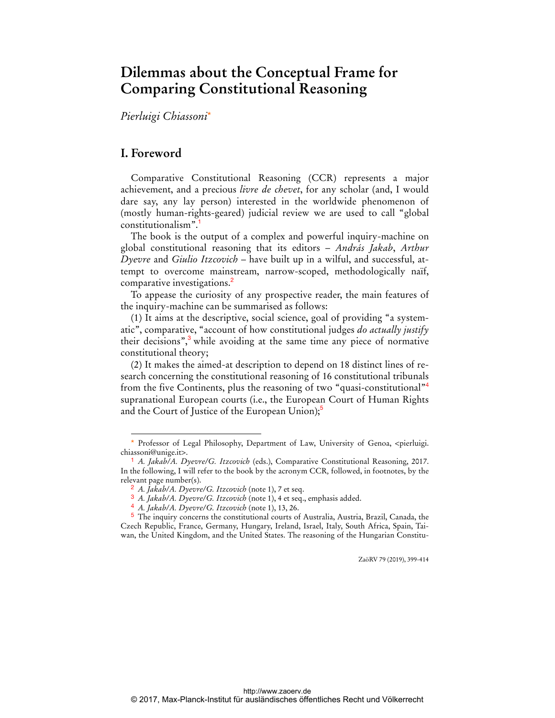# **Dilemmas about the Conceptual Frame for Comparing Constitutional Reasoning**

*Pierluigi Chiassoni*\*

# **I. Foreword**

 $\overline{a}$ 

Comparative Constitutional Reasoning (CCR) represents a major achievement, and a precious *livre de chevet*, for any scholar (and, I would dare say, any lay person) interested in the worldwide phenomenon of (mostly human-rights-geared) judicial review we are used to call "global constitutionalism".

The book is the output of a complex and powerful inquiry-machine on global constitutional reasoning that its editors – *András Jakab*, *Arthur Dyevre* and *Giulio Itzcovich* – have built up in a wilful, and successful, attempt to overcome mainstream, narrow-scoped, methodologically naïf, comparative investigations.<sup>2</sup>

To appease the curiosity of any prospective reader, the main features of the inquiry-machine can be summarised as follows:

(1) It aims at the descriptive, social science, goal of providing "a systematic", comparative, "account of how constitutional judges *do actually justify* their decisions",<sup>3</sup> while avoiding at the same time any piece of normative constitutional theory;

(2) It makes the aimed-at description to depend on 18 distinct lines of research concerning the constitutional reasoning of 16 constitutional tribunals from the five Continents, plus the reasoning of two "quasi-constitutional"<sup>4</sup> supranational European courts (i.e., the European Court of Human Rights and the Court of Justice of the European Union); $\delta$ 

ZaöRV 79 (2019), 399-414

<sup>\*</sup> Professor of Legal Philosophy, Department of Law, University of Genoa, <pierluigi. chiassoni@unige.it>.

<sup>1</sup> *A. Jakab/A. Dyevre/G. Itzcovich* (eds.), Comparative Constitutional Reasoning, 2017. In the following, I will refer to the book by the acronym CCR*,* followed, in footnotes, by the relevant page number(s).

<sup>2</sup> *A. Jakab/A. Dyevre/G. Itzcovich* (note 1), 7 et seq.

<sup>3</sup> *A. Jakab/A. Dyevre/G. Itzcovich* (note 1), 4 et seq., emphasis added.

<sup>4</sup> *A. Jakab/A. Dyevre/G. Itzcovich* (note 1), 13, 26.

<sup>5</sup> The inquiry concerns the constitutional courts of Australia, Austria, Brazil, Canada, the Czech Republic, France, Germany, Hungary, Ireland, Israel, Italy, South Africa, Spain, Taiwan, the United Kingdom, and the United States. The reasoning of the Hungarian Constitu-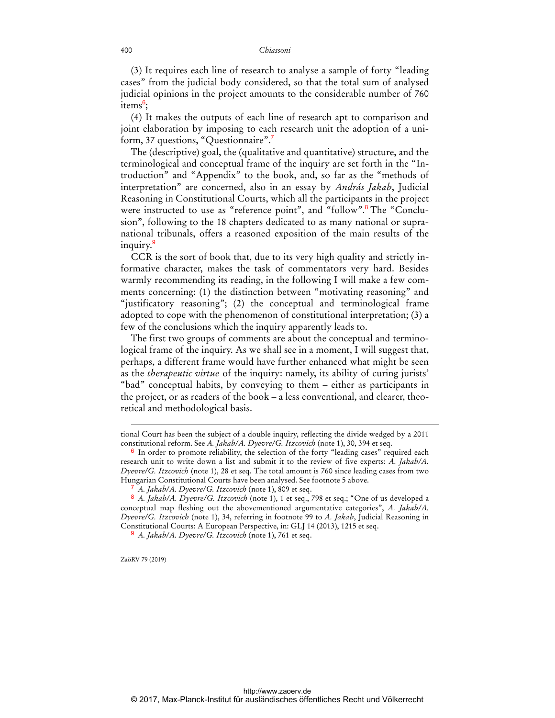(3) It requires each line of research to analyse a sample of forty "leading cases" from the judicial body considered, so that the total sum of analysed judicial opinions in the project amounts to the considerable number of 760 items<sup>6</sup>;

(4) It makes the outputs of each line of research apt to comparison and joint elaboration by imposing to each research unit the adoption of a uniform, 37 questions, "Questionnaire".

The (descriptive) goal, the (qualitative and quantitative) structure, and the terminological and conceptual frame of the inquiry are set forth in the "Introduction" and "Appendix" to the book, and, so far as the "methods of interpretation" are concerned, also in an essay by *András Jakab*, Judicial Reasoning in Constitutional Courts, which all the participants in the project were instructed to use as "reference point", and "follow".<sup>8</sup> The "Conclusion", following to the 18 chapters dedicated to as many national or supranational tribunals, offers a reasoned exposition of the main results of the inquiry.<sup>9</sup>

CCR is the sort of book that, due to its very high quality and strictly informative character, makes the task of commentators very hard. Besides warmly recommending its reading, in the following I will make a few comments concerning: (1) the distinction between "motivating reasoning" and "justificatory reasoning"; (2) the conceptual and terminological frame adopted to cope with the phenomenon of constitutional interpretation; (3) a few of the conclusions which the inquiry apparently leads to.

The first two groups of comments are about the conceptual and terminological frame of the inquiry. As we shall see in a moment, I will suggest that, perhaps, a different frame would have further enhanced what might be seen as the *therapeutic virtue* of the inquiry: namely, its ability of curing jurists' "bad" conceptual habits, by conveying to them – either as participants in the project, or as readers of the book – a less conventional, and clearer, theoretical and methodological basis.

ZaöRV 79 (2019)

tional Court has been the subject of a double inquiry, reflecting the divide wedged by a 2011 constitutional reform. See *A. Jakab/A. Dyevre/G. Itzcovich* (note 1), 30, 394 et seq.

 $6$  In order to promote reliability, the selection of the forty "leading cases" required each research unit to write down a list and submit it to the review of five experts: *A. Jakab/A. Dyevre/G. Itzcovich* (note 1), 28 et seq. The total amount is 760 since leading cases from two Hungarian Constitutional Courts have been analysed. See footnote 5 above.

<sup>7</sup> *A. Jakab/A. Dyevre/G. Itzcovich* (note 1), 809 et seq.

<sup>8</sup> *A. Jakab/A. Dyevre/G. Itzcovich* (note 1), 1 et seq., 798 et seq.; "One of us developed a conceptual map fleshing out the abovementioned argumentative categories", *A. Jakab/A. Dyevre/G. Itzcovich* (note 1), 34, referring in footnote 99 to *A. Jakab*, Judicial Reasoning in Constitutional Courts: A European Perspective, in: GLJ 14 (2013), 1215 et seq.

<sup>9</sup> *A. Jakab/A. Dyevre/G. Itzcovich* (note 1), 761 et seq.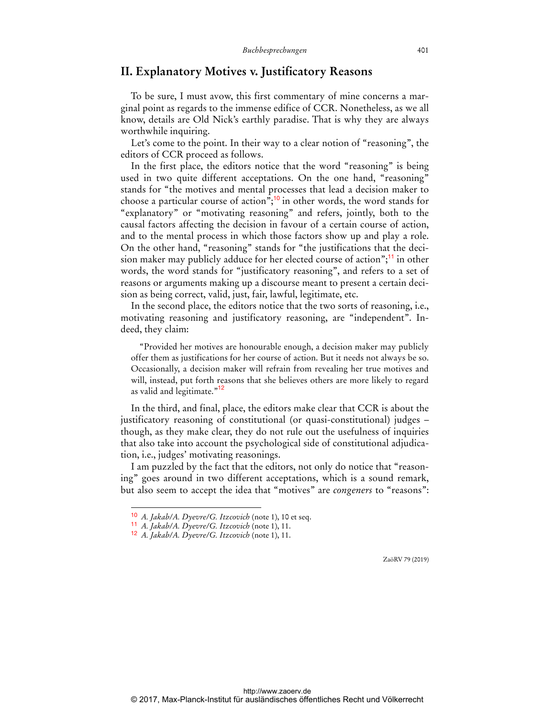## **II. Explanatory Motives v. Justificatory Reasons**

To be sure, I must avow, this first commentary of mine concerns a marginal point as regards to the immense edifice of CCR. Nonetheless, as we all know, details are Old Nick's earthly paradise. That is why they are always worthwhile inquiring.

Let's come to the point. In their way to a clear notion of "reasoning", the editors of CCR proceed as follows.

In the first place, the editors notice that the word "reasoning" is being used in two quite different acceptations. On the one hand, "reasoning" stands for "the motives and mental processes that lead a decision maker to choose a particular course of action";<sup>10</sup> in other words, the word stands for "explanatory" or "motivating reasoning" and refers, jointly, both to the causal factors affecting the decision in favour of a certain course of action, and to the mental process in which those factors show up and play a role. On the other hand, "reasoning" stands for "the justifications that the decision maker may publicly adduce for her elected course of action"; $\frac{11}{11}$  in other words, the word stands for "justificatory reasoning", and refers to a set of reasons or arguments making up a discourse meant to present a certain decision as being correct, valid, just, fair, lawful, legitimate, etc.

In the second place, the editors notice that the two sorts of reasoning, i.e., motivating reasoning and justificatory reasoning, are "independent". Indeed, they claim:

"Provided her motives are honourable enough, a decision maker may publicly offer them as justifications for her course of action. But it needs not always be so. Occasionally, a decision maker will refrain from revealing her true motives and will, instead, put forth reasons that she believes others are more likely to regard as valid and legitimate."<sup>12</sup>

In the third, and final, place, the editors make clear that CCR is about the justificatory reasoning of constitutional (or quasi-constitutional) judges – though, as they make clear, they do not rule out the usefulness of inquiries that also take into account the psychological side of constitutional adjudication, i.e., judges' motivating reasonings.

I am puzzled by the fact that the editors, not only do notice that "reasoning" goes around in two different acceptations, which is a sound remark, but also seem to accept the idea that "motives" are *congeners* to "reasons":

 $\overline{a}$ 

<sup>10</sup> *A. Jakab/A. Dyevre/G. Itzcovich* (note 1), 10 et seq.

<sup>11</sup> *A. Jakab/A. Dyevre/G. Itzcovich* (note 1), 11.

<sup>12</sup> *A. Jakab/A. Dyevre/G. Itzcovich* (note 1), 11.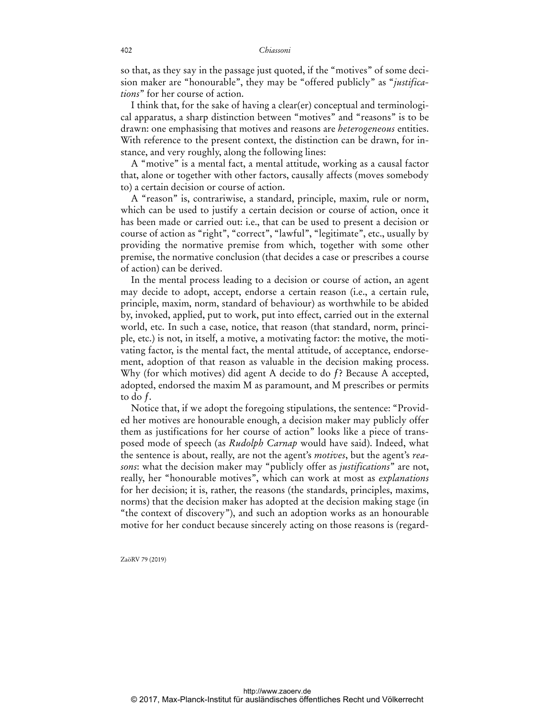so that, as they say in the passage just quoted, if the "motives" of some decision maker are "honourable", they may be "offered publicly" as "*justifications*" for her course of action.

I think that, for the sake of having a clear(er) conceptual and terminological apparatus, a sharp distinction between "motives" and "reasons" is to be drawn: one emphasising that motives and reasons are *heterogeneous* entities. With reference to the present context, the distinction can be drawn, for instance, and very roughly, along the following lines:

A "motive" is a mental fact, a mental attitude, working as a causal factor that, alone or together with other factors, causally affects (moves somebody to) a certain decision or course of action.

A "reason" is, contrariwise, a standard, principle, maxim, rule or norm, which can be used to justify a certain decision or course of action, once it has been made or carried out: i.e., that can be used to present a decision or course of action as "right", "correct", "lawful", "legitimate", etc., usually by providing the normative premise from which, together with some other premise, the normative conclusion (that decides a case or prescribes a course of action) can be derived.

In the mental process leading to a decision or course of action, an agent may decide to adopt, accept, endorse a certain reason (i.e., a certain rule, principle, maxim, norm, standard of behaviour) as worthwhile to be abided by, invoked, applied, put to work, put into effect, carried out in the external world, etc. In such a case, notice, that reason (that standard, norm, principle, etc.) is not, in itself, a motive, a motivating factor: the motive, the motivating factor, is the mental fact, the mental attitude, of acceptance, endorsement, adoption of that reason as valuable in the decision making process. Why (for which motives) did agent A decide to do f? Because A accepted, adopted, endorsed the maxim M as paramount, and M prescribes or permits to do  $f$ .

Notice that, if we adopt the foregoing stipulations, the sentence: "Provided her motives are honourable enough, a decision maker may publicly offer them as justifications for her course of action" looks like a piece of transposed mode of speech (as *Rudolph Carnap* would have said). Indeed, what the sentence is about, really, are not the agent's *motives*, but the agent's *reasons*: what the decision maker may "publicly offer as *justifications*" are not, really, her "honourable motives", which can work at most as *explanations* for her decision; it is, rather, the reasons (the standards, principles, maxims, norms) that the decision maker has adopted at the decision making stage (in "the context of discovery"), and such an adoption works as an honourable motive for her conduct because sincerely acting on those reasons is (regard-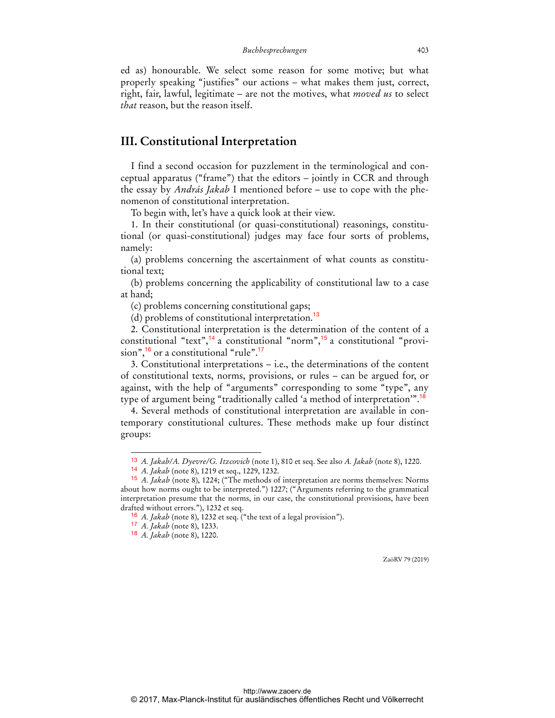ed as) honourable. We select some reason for some motive; but what properly speaking "justifies" our actions – what makes them just, correct, right, fair, lawful, legitimate – are not the motives, what *moved us* to select *that* reason, but the reason itself.

# **III. Constitutional Interpretation**

I find a second occasion for puzzlement in the terminological and conceptual apparatus ("frame") that the editors – jointly in CCR and through the essay by *András Jakab* I mentioned before – use to cope with the phenomenon of constitutional interpretation.

To begin with, let's have a quick look at their view.

1. In their constitutional (or quasi-constitutional) reasonings, constitutional (or quasi-constitutional) judges may face four sorts of problems, namely:

(a) problems concerning the ascertainment of what counts as constitutional text;

(b) problems concerning the applicability of constitutional law to a case at hand;

(c) problems concerning constitutional gaps;

(d) problems of constitutional interpretation.<sup>13</sup>

2. Constitutional interpretation is the determination of the content of a constitutional "text",<sup>14</sup> a constitutional "norm",<sup>15</sup> a constitutional "provision", $16$  or a constitutional "rule". $17$ 

3. Constitutional interpretations – i.e., the determinations of the content of constitutional texts, norms, provisions, or rules – can be argued for, or against, with the help of "arguments" corresponding to some "type", any type of argument being "traditionally called 'a method of interpretation'".<sup>18</sup>

4. Several methods of constitutional interpretation are available in contemporary constitutional cultures. These methods make up four distinct groups:

 $\overline{a}$ 

<sup>13</sup> *A. Jakab/A. Dyevre/G. Itzcovich* (note 1), 810 et seq. See also *A. Jakab* (note 8), 1220.

<sup>14</sup> *A. Jakab* (note 8), 1219 et seq., 1229, 1232.

<sup>15</sup> *A. Jakab* (note 8), 1224; ("The methods of interpretation are norms themselves: Norms about how norms ought to be interpreted.") 1227; ("Arguments referring to the grammatical interpretation presume that the norms, in our case, the constitutional provisions, have been drafted without errors."), 1232 et seq.

<sup>16</sup> *A. Jakab* (note 8), 1232 et seq. ("the text of a legal provision").

<sup>17</sup> *A. Jakab* (note 8), 1233.

<sup>18</sup> *A. Jakab* (note 8), 1220.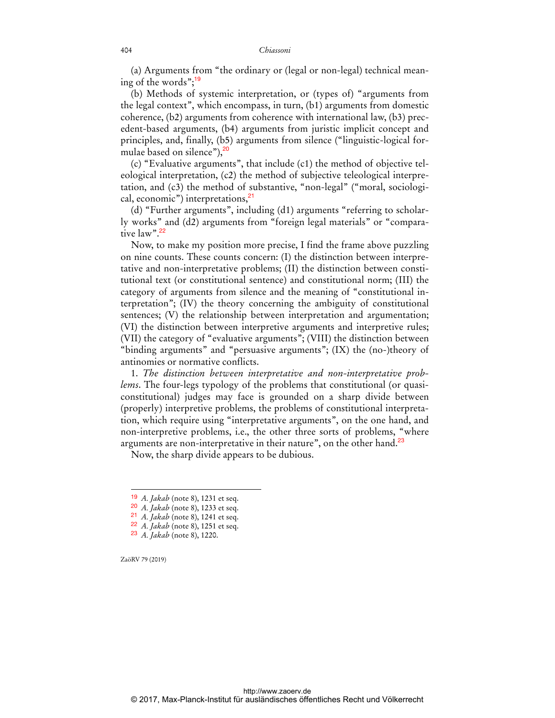(a) Arguments from "the ordinary or (legal or non-legal) technical meaning of the words"; $19$ 

(b) Methods of systemic interpretation, or (types of) "arguments from the legal context", which encompass, in turn, (b1) arguments from domestic coherence, (b2) arguments from coherence with international law, (b3) precedent-based arguments, (b4) arguments from juristic implicit concept and principles, and, finally, (b5) arguments from silence ("linguistic-logical formulae based on silence"), $20$ 

(c) "Evaluative arguments", that include (c1) the method of objective teleological interpretation, (c2) the method of subjective teleological interpretation, and (c3) the method of substantive, "non-legal" ("moral, sociological, economic") interpretations,<sup>21</sup>

(d) "Further arguments", including (d1) arguments "referring to scholarly works" and (d2) arguments from "foreign legal materials" or "comparative law".<sup>22</sup>

Now, to make my position more precise, I find the frame above puzzling on nine counts. These counts concern: (I) the distinction between interpretative and non-interpretative problems; (II) the distinction between constitutional text (or constitutional sentence) and constitutional norm; (III) the category of arguments from silence and the meaning of "constitutional interpretation"; (IV) the theory concerning the ambiguity of constitutional sentences; (V) the relationship between interpretation and argumentation; (VI) the distinction between interpretive arguments and interpretive rules; (VII) the category of "evaluative arguments"; (VIII) the distinction between "binding arguments" and "persuasive arguments"; (IX) the (no-)theory of antinomies or normative conflicts.

1. *The distinction between interpretative and non-interpretative problems*. The four-legs typology of the problems that constitutional (or quasiconstitutional) judges may face is grounded on a sharp divide between (properly) interpretive problems, the problems of constitutional interpretation, which require using "interpretative arguments", on the one hand, and non-interpretive problems, i.e., the other three sorts of problems, "where arguments are non-interpretative in their nature", on the other hand.<sup>23</sup>

Now, the sharp divide appears to be dubious.

- 21 *A. Jakab* (note 8), 1241 et seq.
- 22 *A. Jakab* (note 8), 1251 et seq.

ZaöRV 79 (2019)

<sup>19</sup> *A. Jakab* (note 8), 1231 et seq.

<sup>20</sup> *A. Jakab* (note 8), 1233 et seq.

<sup>23</sup> *A. Jakab* (note 8), 1220.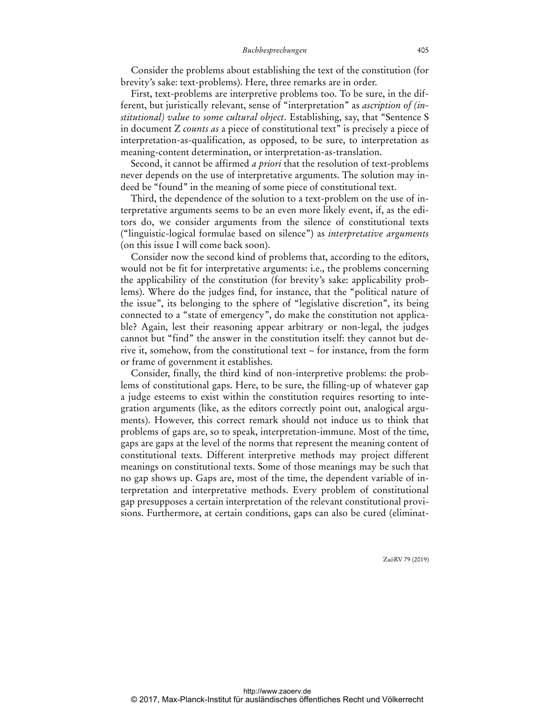### *Buchbesprechungen* 405

Consider the problems about establishing the text of the constitution (for brevity's sake: text-problems). Here, three remarks are in order.

First, text-problems are interpretive problems too. To be sure, in the different, but juristically relevant, sense of "interpretation" as *ascription of (institutional) value to some cultural object*. Establishing, say, that "Sentence S in document Z *counts as* a piece of constitutional text" is precisely a piece of interpretation-as-qualification, as opposed, to be sure, to interpretation as meaning-content determination, or interpretation-as-translation.

Second, it cannot be affirmed *a priori* that the resolution of text-problems never depends on the use of interpretative arguments. The solution may indeed be "found" in the meaning of some piece of constitutional text.

Third, the dependence of the solution to a text-problem on the use of interpretative arguments seems to be an even more likely event, if, as the editors do, we consider arguments from the silence of constitutional texts ("linguistic-logical formulae based on silence") as *interpretative arguments* (on this issue I will come back soon).

Consider now the second kind of problems that, according to the editors, would not be fit for interpretative arguments: i.e., the problems concerning the applicability of the constitution (for brevity's sake: applicability problems). Where do the judges find, for instance, that the "political nature of the issue", its belonging to the sphere of "legislative discretion", its being connected to a "state of emergency", do make the constitution not applicable? Again, lest their reasoning appear arbitrary or non-legal, the judges cannot but "find" the answer in the constitution itself: they cannot but derive it, somehow, from the constitutional text – for instance, from the form or frame of government it establishes.

Consider, finally, the third kind of non-interpretive problems: the problems of constitutional gaps. Here, to be sure, the filling-up of whatever gap a judge esteems to exist within the constitution requires resorting to integration arguments (like, as the editors correctly point out, analogical arguments). However, this correct remark should not induce us to think that problems of gaps are, so to speak, interpretation-immune. Most of the time, gaps are gaps at the level of the norms that represent the meaning content of constitutional texts. Different interpretive methods may project different meanings on constitutional texts. Some of those meanings may be such that no gap shows up. Gaps are, most of the time, the dependent variable of interpretation and interpretative methods. Every problem of constitutional gap presupposes a certain interpretation of the relevant constitutional provisions. Furthermore, at certain conditions, gaps can also be cured (eliminat-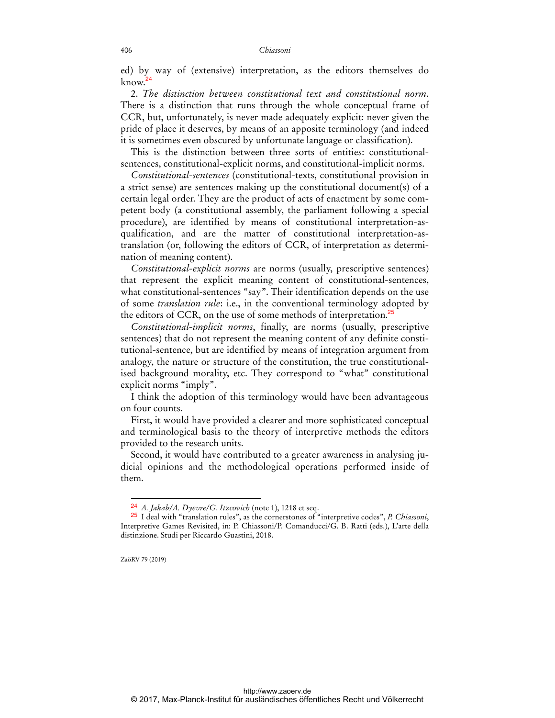ed) by way of (extensive) interpretation, as the editors themselves do  $k$ now.<sup>24</sup>

2. *The distinction between constitutional text and constitutional norm*. There is a distinction that runs through the whole conceptual frame of CCR, but, unfortunately, is never made adequately explicit: never given the pride of place it deserves, by means of an apposite terminology (and indeed it is sometimes even obscured by unfortunate language or classification).

This is the distinction between three sorts of entities: constitutionalsentences, constitutional-explicit norms, and constitutional-implicit norms.

*Constitutional-sentences* (constitutional-texts, constitutional provision in a strict sense) are sentences making up the constitutional document(s) of a certain legal order. They are the product of acts of enactment by some competent body (a constitutional assembly, the parliament following a special procedure), are identified by means of constitutional interpretation-asqualification, and are the matter of constitutional interpretation-astranslation (or, following the editors of CCR, of interpretation as determination of meaning content).

*Constitutional-explicit norms* are norms (usually, prescriptive sentences) that represent the explicit meaning content of constitutional-sentences, what constitutional-sentences "say". Their identification depends on the use of some *translation rule*: i.e., in the conventional terminology adopted by the editors of CCR, on the use of some methods of interpretation.<sup>25</sup>

*Constitutional-implicit norms*, finally, are norms (usually, prescriptive sentences) that do not represent the meaning content of any definite constitutional-sentence, but are identified by means of integration argument from analogy, the nature or structure of the constitution, the true constitutionalised background morality, etc. They correspond to "what" constitutional explicit norms "imply".

I think the adoption of this terminology would have been advantageous on four counts.

First, it would have provided a clearer and more sophisticated conceptual and terminological basis to the theory of interpretive methods the editors provided to the research units.

Second, it would have contributed to a greater awareness in analysing judicial opinions and the methodological operations performed inside of them.

ZaöRV 79 (2019)

<sup>24</sup> *A. Jakab/A. Dyevre/G. Itzcovich* (note 1), 1218 et seq.

<sup>25</sup> I deal with "translation rules", as the cornerstones of "interpretive codes", *P. Chiassoni*, Interpretive Games Revisited, in: P. Chiassoni/P. Comanducci/G. B. Ratti (eds.), L'arte della distinzione. Studi per Riccardo Guastini, 2018.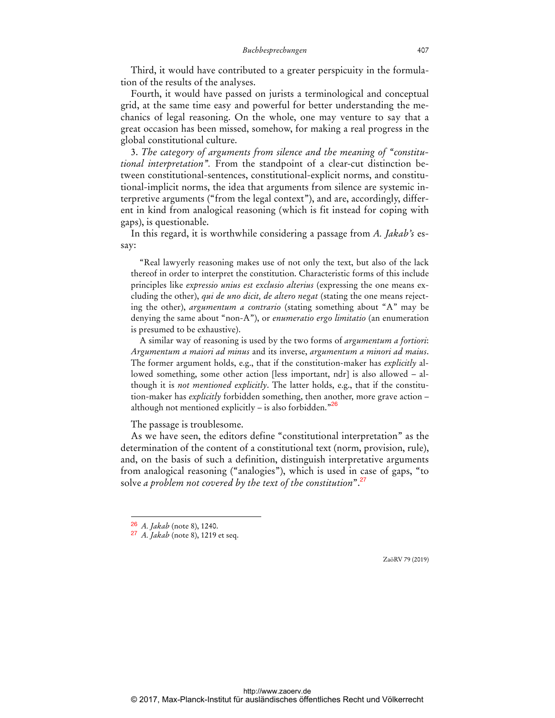Third, it would have contributed to a greater perspicuity in the formulation of the results of the analyses.

Fourth, it would have passed on jurists a terminological and conceptual grid, at the same time easy and powerful for better understanding the mechanics of legal reasoning. On the whole, one may venture to say that a great occasion has been missed, somehow, for making a real progress in the global constitutional culture.

3. *The category of arguments from silence and the meaning of "constitutional interpretation".* From the standpoint of a clear-cut distinction between constitutional-sentences, constitutional-explicit norms, and constitutional-implicit norms, the idea that arguments from silence are systemic interpretive arguments ("from the legal context"), and are, accordingly, different in kind from analogical reasoning (which is fit instead for coping with gaps), is questionable.

In this regard, it is worthwhile considering a passage from *A. Jakab's* essay:

"Real lawyerly reasoning makes use of not only the text, but also of the lack thereof in order to interpret the constitution. Characteristic forms of this include principles like *expressio unius est exclusio alterius* (expressing the one means excluding the other), *qui de uno dicit, de altero negat* (stating the one means rejecting the other), *argumentum a contrario* (stating something about "A" may be denying the same about "non-A"), or *enumeratio ergo limitatio* (an enumeration is presumed to be exhaustive).

A similar way of reasoning is used by the two forms of *argumentum a fortiori*: *Argumentum a maiori ad minus* and its inverse, *argumentum a minori ad maius*. The former argument holds, e.g., that if the constitution-maker has *explicitly* allowed something, some other action [less important, ndr] is also allowed - although it is *not mentioned explicitly*. The latter holds, e.g., that if the constitution-maker has *explicitly* forbidden something, then another, more grave action – although not mentioned explicitly  $-$  is also forbidden."<sup>26</sup>

The passage is troublesome.

As we have seen, the editors define "constitutional interpretation" as the determination of the content of a constitutional text (norm, provision, rule), and, on the basis of such a definition, distinguish interpretative arguments from analogical reasoning ("analogies"), which is used in case of gaps, "to solve *a problem not covered by the text of the constitution*".<sup>27</sup>

 $\overline{a}$ 

<sup>26</sup> *A. Jakab* (note 8), 1240.

<sup>27</sup> *A. Jakab* (note 8), 1219 et seq.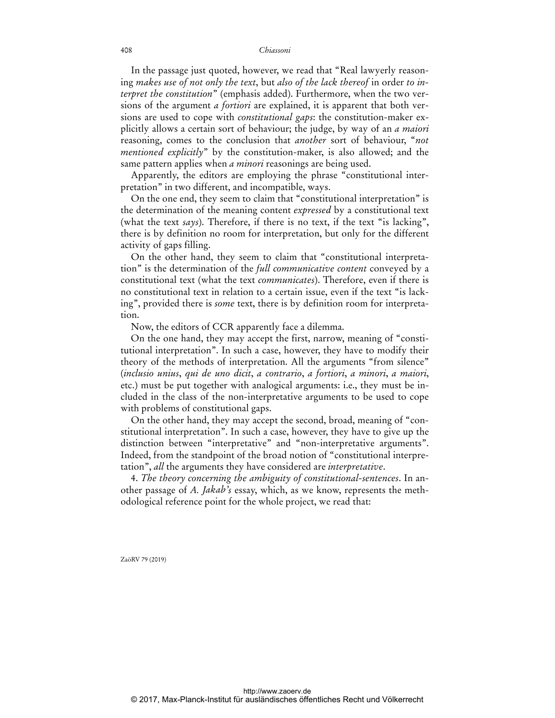In the passage just quoted, however, we read that "Real lawyerly reasoning *makes use of not only the text*, but *also of the lack thereof* in order *to interpret the constitution*" (emphasis added). Furthermore, when the two versions of the argument *a fortiori* are explained, it is apparent that both versions are used to cope with *constitutional gaps*: the constitution-maker explicitly allows a certain sort of behaviour; the judge, by way of an *a maiori* reasoning, comes to the conclusion that *another* sort of behaviour, "*not mentioned explicitly*" by the constitution-maker, is also allowed; and the same pattern applies when *a minori* reasonings are being used.

Apparently, the editors are employing the phrase "constitutional interpretation" in two different, and incompatible, ways.

On the one end, they seem to claim that "constitutional interpretation" is the determination of the meaning content *expressed* by a constitutional text (what the text *says*). Therefore, if there is no text, if the text "is lacking", there is by definition no room for interpretation, but only for the different activity of gaps filling.

On the other hand, they seem to claim that "constitutional interpretation" is the determination of the *full communicative content* conveyed by a constitutional text (what the text *communicates*). Therefore, even if there is no constitutional text in relation to a certain issue, even if the text "is lacking", provided there is *some* text, there is by definition room for interpretation.

Now, the editors of CCR apparently face a dilemma.

On the one hand, they may accept the first, narrow, meaning of "constitutional interpretation". In such a case, however, they have to modify their theory of the methods of interpretation. All the arguments "from silence" (*inclusio unius*, *qui de uno dicit*, *a contrario*, *a fortiori*, *a minori*, *a maiori*, etc.) must be put together with analogical arguments: i.e., they must be included in the class of the non-interpretative arguments to be used to cope with problems of constitutional gaps.

On the other hand, they may accept the second, broad, meaning of "constitutional interpretation". In such a case, however, they have to give up the distinction between "interpretative" and "non-interpretative arguments". Indeed, from the standpoint of the broad notion of "constitutional interpretation", *all* the arguments they have considered are *interpretative*.

4. *The theory concerning the ambiguity of constitutional-sentences*. In another passage of *A. Jakab's* essay, which, as we know, represents the methodological reference point for the whole project, we read that: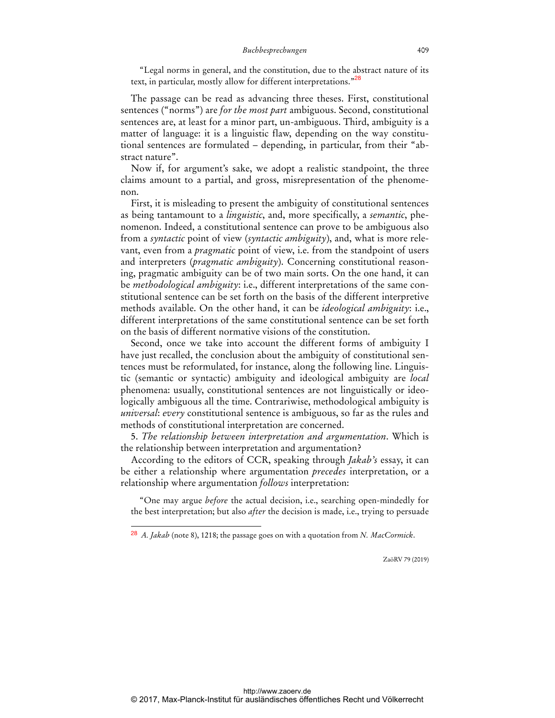#### *Buchbesprechungen* 409

"Legal norms in general, and the constitution, due to the abstract nature of its text, in particular, mostly allow for different interpretations."<sup>28</sup>

The passage can be read as advancing three theses. First, constitutional sentences ("norms") are *for the most part* ambiguous. Second, constitutional sentences are, at least for a minor part, un-ambiguous. Third, ambiguity is a matter of language: it is a linguistic flaw, depending on the way constitutional sentences are formulated – depending, in particular, from their "abstract nature".

Now if, for argument's sake, we adopt a realistic standpoint, the three claims amount to a partial, and gross, misrepresentation of the phenomenon.

First, it is misleading to present the ambiguity of constitutional sentences as being tantamount to a *linguistic*, and, more specifically, a *semantic*, phenomenon. Indeed, a constitutional sentence can prove to be ambiguous also from a *syntactic* point of view (*syntactic ambiguity*), and, what is more relevant, even from a *pragmatic* point of view, i.e. from the standpoint of users and interpreters (*pragmatic ambiguity*). Concerning constitutional reasoning, pragmatic ambiguity can be of two main sorts. On the one hand, it can be *methodological ambiguity*: i.e., different interpretations of the same constitutional sentence can be set forth on the basis of the different interpretive methods available. On the other hand, it can be *ideological ambiguity*: i.e., different interpretations of the same constitutional sentence can be set forth on the basis of different normative visions of the constitution.

Second, once we take into account the different forms of ambiguity I have just recalled, the conclusion about the ambiguity of constitutional sentences must be reformulated, for instance, along the following line. Linguistic (semantic or syntactic) ambiguity and ideological ambiguity are *local* phenomena: usually, constitutional sentences are not linguistically or ideologically ambiguous all the time. Contrariwise, methodological ambiguity is *universal*: *every* constitutional sentence is ambiguous, so far as the rules and methods of constitutional interpretation are concerned.

5. *The relationship between interpretation and argumentation*. Which is the relationship between interpretation and argumentation?

According to the editors of CCR, speaking through *Jakab's* essay, it can be either a relationship where argumentation *precedes* interpretation, or a relationship where argumentation *follows* interpretation:

"One may argue *before* the actual decision, i.e., searching open-mindedly for the best interpretation; but also *after* the decision is made, i.e., trying to persuade

 $\ddot{ }$ 

<sup>28</sup> *A. Jakab* (note 8), 1218; the passage goes on with a quotation from *N. MacCormick*.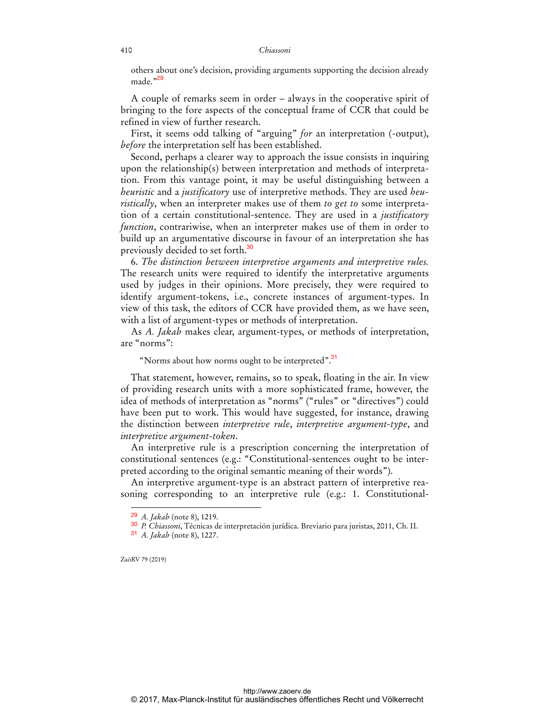others about one's decision, providing arguments supporting the decision already made."29

A couple of remarks seem in order – always in the cooperative spirit of bringing to the fore aspects of the conceptual frame of CCR that could be refined in view of further research.

First, it seems odd talking of "arguing" *for* an interpretation (-output), *before* the interpretation self has been established.

Second, perhaps a clearer way to approach the issue consists in inquiring upon the relationship(s) between interpretation and methods of interpretation. From this vantage point, it may be useful distinguishing between a *heuristic* and a *justificatory* use of interpretive methods. They are used *heuristically*, when an interpreter makes use of them *to get to* some interpretation of a certain constitutional-sentence. They are used in a *justificatory function*, contrariwise, when an interpreter makes use of them in order to build up an argumentative discourse in favour of an interpretation she has previously decided to set forth.<sup>30</sup>

6. *The distinction between interpretive arguments and interpretive rules.* The research units were required to identify the interpretative arguments used by judges in their opinions. More precisely, they were required to identify argument-tokens, i.e., concrete instances of argument-types. In view of this task, the editors of CCR have provided them, as we have seen, with a list of argument-types or methods of interpretation.

As *A. Jakab* makes clear, argument-types, or methods of interpretation, are "norms":

### "Norms about how norms ought to be interpreted".<sup>31</sup>

That statement, however, remains, so to speak, floating in the air. In view of providing research units with a more sophisticated frame, however, the idea of methods of interpretation as "norms" ("rules" or "directives") could have been put to work. This would have suggested, for instance, drawing the distinction between *interpretive rule*, *interpretive argument-type*, and *interpretive argument-token*.

An interpretive rule is a prescription concerning the interpretation of constitutional sentences (e.g.: "Constitutional-sentences ought to be interpreted according to the original semantic meaning of their words").

An interpretive argument-type is an abstract pattern of interpretive reasoning corresponding to an interpretive rule (e.g.: 1. Constitutional-

ZaöRV 79 (2019)

<sup>29</sup> *A. Jakab* (note 8), 1219.

<sup>30</sup> *P. Chiassoni*, Técnicas de interpretación jurídica. Breviario para juristas, 2011, Ch. II.

<sup>31</sup> *A. Jakab* (note 8), 1227.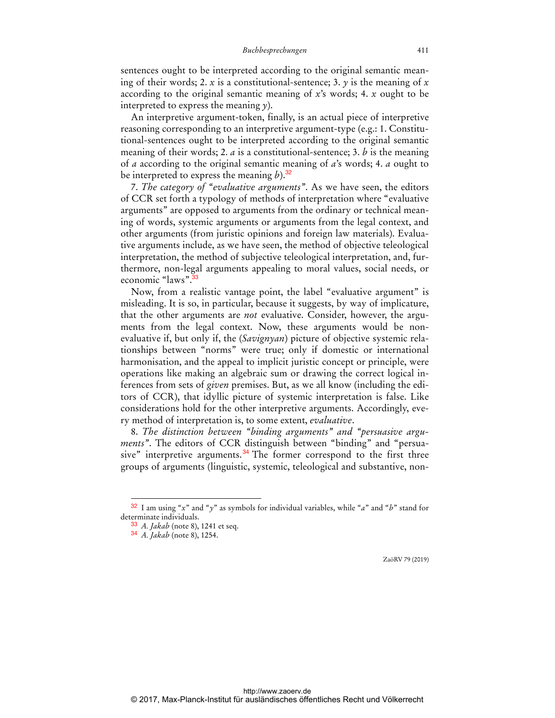sentences ought to be interpreted according to the original semantic meaning of their words; 2. *x* is a constitutional-sentence; 3. *y* is the meaning of *x* according to the original semantic meaning of *x*'s words; 4. *x* ought to be interpreted to express the meaning *y*).

An interpretive argument-token, finally, is an actual piece of interpretive reasoning corresponding to an interpretive argument-type (e.g.: 1. Constitutional-sentences ought to be interpreted according to the original semantic meaning of their words; 2. *a* is a constitutional-sentence; 3. *b* is the meaning of *a* according to the original semantic meaning of *a*'s words; 4. *a* ought to be interpreted to express the meaning  $b$ ).<sup>32</sup>

7. *The category of "evaluative arguments"*. As we have seen, the editors of CCR set forth a typology of methods of interpretation where "evaluative arguments" are opposed to arguments from the ordinary or technical meaning of words, systemic arguments or arguments from the legal context, and other arguments (from juristic opinions and foreign law materials). Evaluative arguments include, as we have seen, the method of objective teleological interpretation, the method of subjective teleological interpretation, and, furthermore, non-legal arguments appealing to moral values, social needs, or economic "laws".<sup>33</sup>

Now, from a realistic vantage point, the label "evaluative argument" is misleading. It is so, in particular, because it suggests, by way of implicature, that the other arguments are *not* evaluative. Consider, however, the arguments from the legal context. Now, these arguments would be nonevaluative if, but only if, the (*Savignyan*) picture of objective systemic relationships between "norms" were true; only if domestic or international harmonisation, and the appeal to implicit juristic concept or principle, were operations like making an algebraic sum or drawing the correct logical inferences from sets of *given* premises. But, as we all know (including the editors of CCR), that idyllic picture of systemic interpretation is false. Like considerations hold for the other interpretive arguments. Accordingly, every method of interpretation is, to some extent, *evaluative*.

8. *The distinction between "binding arguments" and "persuasive arguments"*. The editors of CCR distinguish between "binding" and "persuasive" interpretive arguments. $34$  The former correspond to the first three groups of arguments (linguistic, systemic, teleological and substantive, non-

 $\overline{a}$ 

<sup>32</sup> I am using "*x*" and "*y*" as symbols for individual variables, while "*a*" and "*b*" stand for determinate individuals.

<sup>33</sup> *A. Jakab* (note 8), 1241 et seq.

<sup>34</sup> *A. Jakab* (note 8), 1254.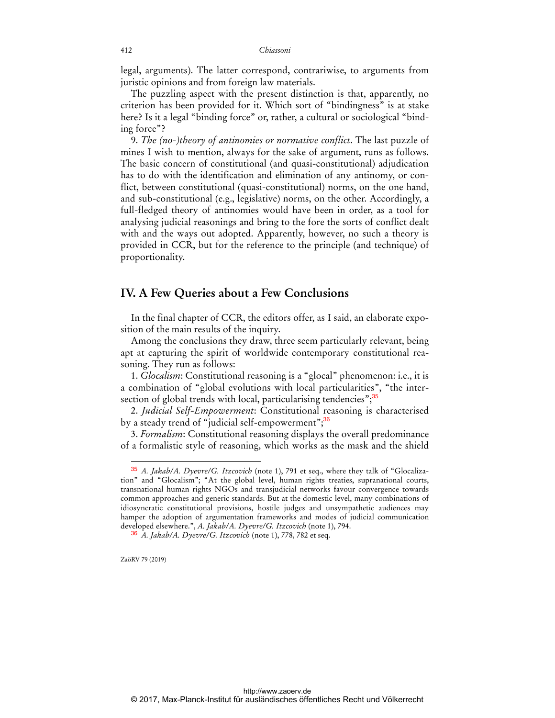legal, arguments). The latter correspond, contrariwise, to arguments from juristic opinions and from foreign law materials.

The puzzling aspect with the present distinction is that, apparently, no criterion has been provided for it. Which sort of "bindingness" is at stake here? Is it a legal "binding force" or, rather, a cultural or sociological "binding force"?

9. *The (no-)theory of antinomies or normative conflict*. The last puzzle of mines I wish to mention, always for the sake of argument, runs as follows. The basic concern of constitutional (and quasi-constitutional) adjudication has to do with the identification and elimination of any antinomy, or conflict, between constitutional (quasi-constitutional) norms, on the one hand, and sub-constitutional (e.g., legislative) norms, on the other. Accordingly, a full-fledged theory of antinomies would have been in order, as a tool for analysing judicial reasonings and bring to the fore the sorts of conflict dealt with and the ways out adopted. Apparently, however, no such a theory is provided in CCR, but for the reference to the principle (and technique) of proportionality.

### **IV. A Few Queries about a Few Conclusions**

In the final chapter of CCR, the editors offer, as I said, an elaborate exposition of the main results of the inquiry.

Among the conclusions they draw, three seem particularly relevant, being apt at capturing the spirit of worldwide contemporary constitutional reasoning. They run as follows:

1. *Glocalism*: Constitutional reasoning is a "glocal" phenomenon: i.e., it is a combination of "global evolutions with local particularities", "the intersection of global trends with local, particularising tendencies";<sup>35</sup>

2. *Judicial Self-Empowerment*: Constitutional reasoning is characterised by a steady trend of "judicial self-empowerment";<sup>36</sup>

3. *Formalism*: Constitutional reasoning displays the overall predominance of a formalistic style of reasoning, which works as the mask and the shield

ZaöRV 79 (2019)

<sup>35</sup> *A. Jakab/A. Dyevre/G. Itzcovich* (note 1), 791 et seq., where they talk of "Glocalization" and "Glocalism"; "At the global level, human rights treaties, supranational courts, transnational human rights NGOs and transjudicial networks favour convergence towards common approaches and generic standards. But at the domestic level, many combinations of idiosyncratic constitutional provisions, hostile judges and unsympathetic audiences may hamper the adoption of argumentation frameworks and modes of judicial communication developed elsewhere.", *A. Jakab/A. Dyevre/G. Itzcovich* (note 1), 794.

<sup>36</sup> *A. Jakab/A. Dyevre/G. Itzcovich* (note 1), 778, 782 et seq.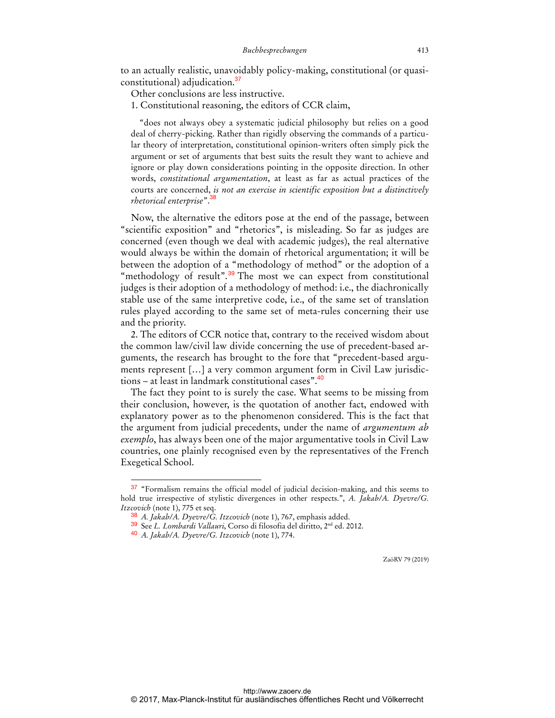to an actually realistic, unavoidably policy-making, constitutional (or quasiconstitutional) adjudication.<sup>37</sup>

Other conclusions are less instructive.

1. Constitutional reasoning, the editors of CCR claim,

"does not always obey a systematic judicial philosophy but relies on a good deal of cherry-picking. Rather than rigidly observing the commands of a particular theory of interpretation, constitutional opinion-writers often simply pick the argument or set of arguments that best suits the result they want to achieve and ignore or play down considerations pointing in the opposite direction. In other words, *constitutional argumentation*, at least as far as actual practices of the courts are concerned, *is not an exercise in scientific exposition but a distinctively rhetorical enterprise*".<sup>38</sup>

Now, the alternative the editors pose at the end of the passage, between "scientific exposition" and "rhetorics", is misleading. So far as judges are concerned (even though we deal with academic judges), the real alternative would always be within the domain of rhetorical argumentation; it will be between the adoption of a "methodology of method" or the adoption of a "methodology of result".<sup>39</sup> The most we can expect from constitutional judges is their adoption of a methodology of method: i.e., the diachronically stable use of the same interpretive code, i.e., of the same set of translation rules played according to the same set of meta-rules concerning their use and the priority.

2. The editors of CCR notice that, contrary to the received wisdom about the common law/civil law divide concerning the use of precedent-based arguments, the research has brought to the fore that "precedent-based arguments represent […] a very common argument form in Civil Law jurisdictions – at least in landmark constitutional cases".<sup>40</sup>

The fact they point to is surely the case. What seems to be missing from their conclusion, however, is the quotation of another fact, endowed with explanatory power as to the phenomenon considered. This is the fact that the argument from judicial precedents, under the name of *argumentum ab exemplo*, has always been one of the major argumentative tools in Civil Law countries, one plainly recognised even by the representatives of the French Exegetical School.

 $\overline{a}$ 

<sup>37</sup> "Formalism remains the official model of judicial decision-making, and this seems to hold true irrespective of stylistic divergences in other respects.", *A. Jakab/A. Dyevre/G. Itzcovich* (note 1), 775 et seq.

<sup>38</sup> *A. Jakab/A. Dyevre/G. Itzcovich* (note 1), 767, emphasis added.

<sup>39</sup> See *L. Lombardi Vallauri*, Corso di filosofia del diritto, 2nd ed. 2012.

<sup>40</sup> *A. Jakab/A. Dyevre/G. Itzcovich* (note 1), 774.